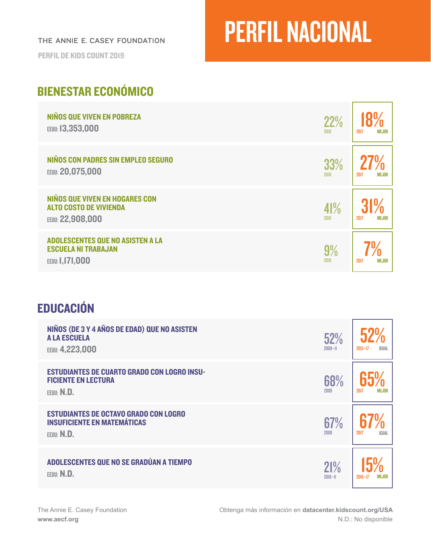THE ANNIE E. CASEY FOUNDATION

PERFIL DE KIDS COUNT 2019

# PERFIL NACIONAL

### BIENESTAR ECONÓMICO

| <b>NIÑOS QUE VIVEN EN POBREZA</b>                                                          | <b>22%</b>  | 2017                 |
|--------------------------------------------------------------------------------------------|-------------|----------------------|
| EEUU: 13,353,000                                                                           | 2010        | <b>MEJOR</b>         |
| <b>NIÑOS CON PADRES SIN EMPLEO SEGURO</b>                                                  | 33%         | <b>MEJOR</b>         |
| EEUU: 20,075,000                                                                           | 2010        | 2017                 |
| <b>NIÑOS QUE VIVEN EN HOGARES CON</b><br><b>ALTO COSTO DE VIVIENDA</b><br>EEUU: 22,908,000 | 41%<br>2010 | <b>MEJOR</b><br>2017 |
| <b>ADOLESCENTES QUE NO ASISTEN A LA</b><br><b>ESCUELA NI TRABAJAN</b><br>EEUU: 1,171,000   | 9%<br>2010  | 2017<br><b>MEJOR</b> |

### EDUCACIÓN

| NIÑOS (DE 3 Y 4 AÑOS DE EDAD) QUE NO ASISTEN<br><b>A LA ESCUELA</b><br>EEUU: 4,223,000           | 52%<br>$2009 - H$  | $2015 - 17$<br><b>IGUAL</b> |
|--------------------------------------------------------------------------------------------------|--------------------|-----------------------------|
| <b>ESTUDIANTES DE CUARTO GRADO CON LOGRO INSU-</b><br><b>FICIENTE EN LECTURA</b><br>EEUU: N.D.   | 68%<br>2009        | 2017<br>MEJOR               |
| <b>ESTUDIANTES DE OCTAVO GRADO CON LOGRO</b><br><b>INSUFICIENTE EN MATEMÁTICAS</b><br>EEUU: N.D. | 67%<br>2009        | 2017<br>IGUAL               |
| ADOLESCENTES QUE NO SE GRADÚAN A TIEMPO<br>EEUU: N.D.                                            | 21%<br>$2010 - 11$ | $2016 - 17$<br><b>MEJOR</b> |